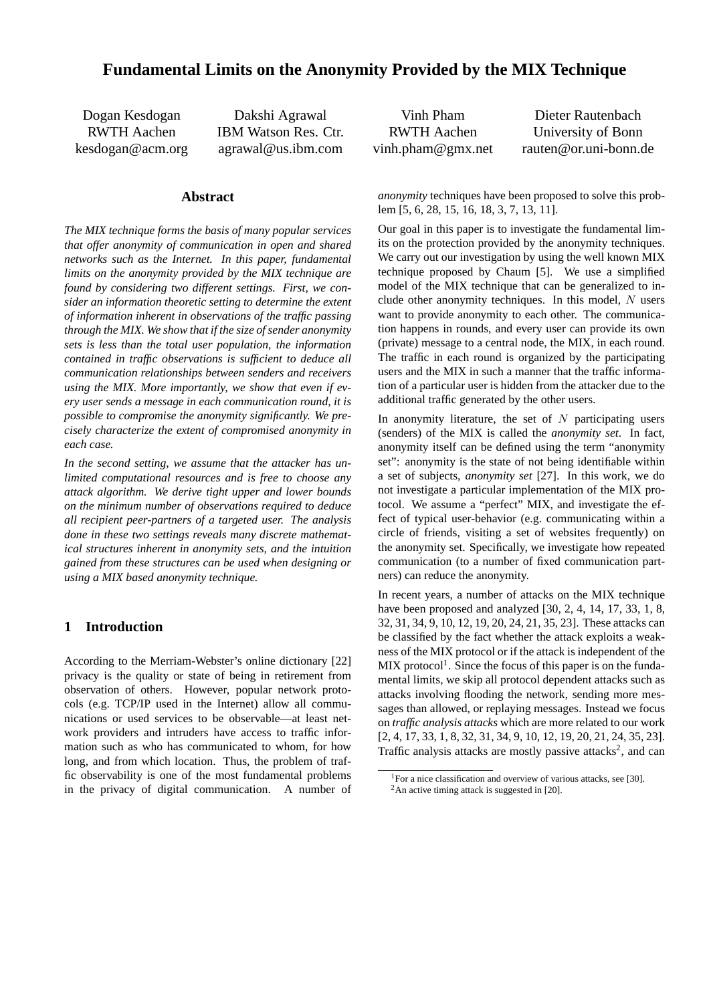# **Fundamental Limits on the Anonymity Provided by the MIX Technique**

Dogan Kesdogan RWTH Aachen kesdogan@acm.org

Dakshi Agrawal IBM Watson Res. Ctr. agrawal@us.ibm.com

## **Abstract**

*The MIX technique forms the basis of many popular services that offer anonymity of communication in open and shared networks such as the Internet. In this paper, fundamental limits on the anonymity provided by the MIX technique are found by considering two different settings. First, we consider an information theoretic setting to determine the extent of information inherent in observations of the traffic passing through the MIX. We show that if the size of sender anonymity sets is less than the total user population, the information contained in traffic observations is sufficient to deduce all communication relationships between senders and receivers using the MIX. More importantly, we show that even if every user sends a message in each communication round, it is possible to compromise the anonymity significantly. We precisely characterize the extent of compromised anonymity in each case.*

*In the second setting, we assume that the attacker has unlimited computational resources and is free to choose any attack algorithm. We derive tight upper and lower bounds on the minimum number of observations required to deduce all recipient peer-partners of a targeted user. The analysis done in these two settings reveals many discrete mathematical structures inherent in anonymity sets, and the intuition gained from these structures can be used when designing or using a MIX based anonymity technique.*

## **1 Introduction**

According to the Merriam-Webster's online dictionary [22] privacy is the quality or state of being in retirement from observation of others. However, popular network protocols (e.g. TCP/IP used in the Internet) allow all communications or used services to be observable—at least network providers and intruders have access to traffic information such as who has communicated to whom, for how long, and from which location. Thus, the problem of traffic observability is one of the most fundamental problems in the privacy of digital communication. A number of

Vinh Pham RWTH Aachen vinh.pham@gmx.net Dieter Rautenbach University of Bonn rauten@or.uni-bonn.de

*anonymity* techniques have been proposed to solve this problem [5, 6, 28, 15, 16, 18, 3, 7, 13, 11].

Our goal in this paper is to investigate the fundamental limits on the protection provided by the anonymity techniques. We carry out our investigation by using the well known MIX technique proposed by Chaum [5]. We use a simplified model of the MIX technique that can be generalized to include other anonymity techniques. In this model,  $N$  users want to provide anonymity to each other. The communication happens in rounds, and every user can provide its own (private) message to a central node, the MIX, in each round. The traffic in each round is organized by the participating users and the MIX in such a manner that the traffic information of a particular user is hidden from the attacker due to the additional traffic generated by the other users.

In anonymity literature, the set of  $N$  participating users (senders) of the MIX is called the *anonymity set*. In fact, anonymity itself can be defined using the term "anonymity set": anonymity is the state of not being identifiable within a set of subjects, *anonymity set* [27]. In this work, we do not investigate a particular implementation of the MIX protocol. We assume a "perfect" MIX, and investigate the effect of typical user-behavior (e.g. communicating within a circle of friends, visiting a set of websites frequently) on the anonymity set. Specifically, we investigate how repeated communication (to a number of fixed communication partners) can reduce the anonymity.

In recent years, a number of attacks on the MIX technique have been proposed and analyzed [30, 2, 4, 14, 17, 33, 1, 8, 32, 31, 34, 9, 10, 12, 19, 20, 24, 21, 35, 23]. These attacks can be classified by the fact whether the attack exploits a weakness of the MIX protocol or if the attack is independent of the  $MIX$  protocol<sup>1</sup>. Since the focus of this paper is on the fundamental limits, we skip all protocol dependent attacks such as attacks involving flooding the network, sending more messages than allowed, or replaying messages. Instead we focus on *traffic analysis attacks* which are more related to our work [2, 4, 17, 33, 1, 8, 32, 31, 34, 9, 10, 12, 19, 20, 21, 24, 35, 23]. Traffic analysis attacks are mostly passive attacks<sup>2</sup>, and can

<sup>&</sup>lt;sup>1</sup>For a nice classification and overview of various attacks, see [30].  $2$ An active timing attack is suggested in [20].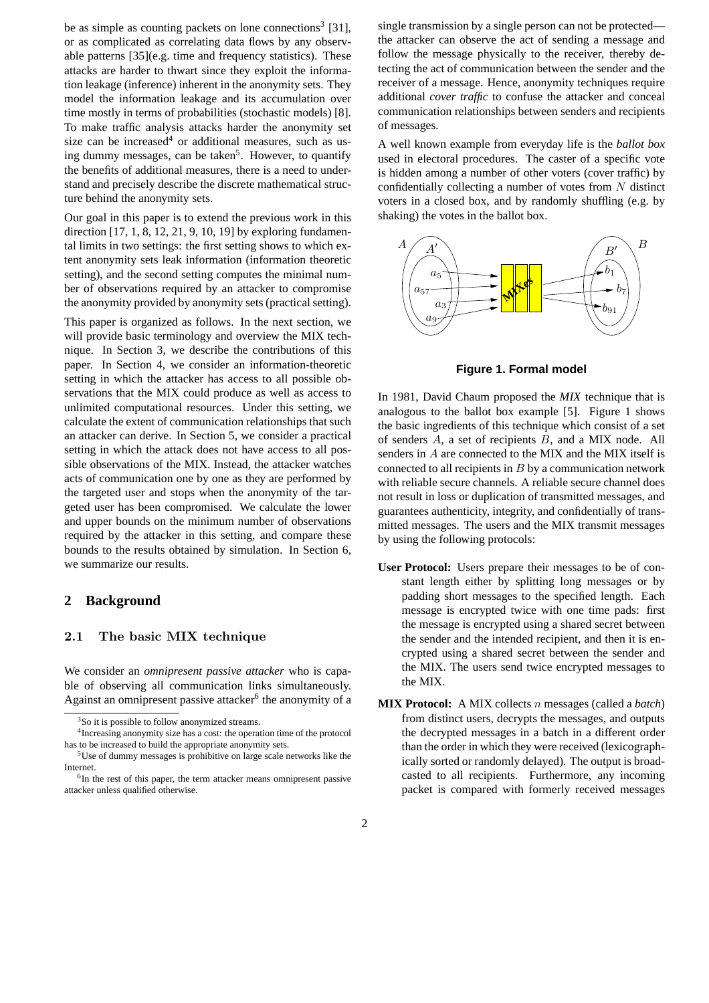be as simple as counting packets on lone connections<sup>3</sup> [31], or as complicated as correlating data flows by any observable patterns [35](e.g. time and frequency statistics). These attacks are harder to thwart since they exploit the information leakage (inference) inherent in the anonymity sets. They model the information leakage and its accumulation over time mostly in terms of probabilities (stochastic models) [8]. To make traffic analysis attacks harder the anonymity set size can be increased<sup>4</sup> or additional measures, such as using dummy messages, can be taken<sup>5</sup>. However, to quantify the benefits of additional measures, there is a need to understand and precisely describe the discrete mathematical structure behind the anonymity sets.

Our goal in this paper is to extend the previous work in this direction [17, 1, 8, 12, 21, 9, 10, 19] by exploring fundamental limits in two settings: the first setting shows to which extent anonymity sets leak information (information theoretic setting), and the second setting computes the minimal number of observations required by an attacker to compromise the anonymity provided by anonymity sets (practical setting).

This paper is organized as follows. In the next section, we will provide basic terminology and overview the MIX technique. In Section 3, we describe the contributions of this paper. In Section 4, we consider an information-theoretic setting in which the attacker has access to all possible observations that the MIX could produce as well as access to unlimited computational resources. Under this setting, we calculate the extent of communication relationships that such an attacker can derive. In Section 5, we consider a practical setting in which the attack does not have access to all possible observations of the MIX. Instead, the attacker watches acts of communication one by one as they are performed by the targeted user and stops when the anonymity of the targeted user has been compromised. We calculate the lower and upper bounds on the minimum number of observations required by the attacker in this setting, and compare these bounds to the results obtained by simulation. In Section 6, we summarize our results.

### **2 Background**

#### **2.1 The basic MIX technique**

We consider an *omnipresent passive attacker* who is capable of observing all communication links simultaneously. Against an omnipresent passive attacker $6$  the anonymity of a single transmission by a single person can not be protected the attacker can observe the act of sending a message and follow the message physically to the receiver, thereby detecting the act of communication between the sender and the receiver of a message. Hence, anonymity techniques require additional *cover traffic* to confuse the attacker and conceal communication relationships between senders and recipients of messages.

A well known example from everyday life is the *ballot box* used in electoral procedures. The caster of a specific vote is hidden among a number of other voters (cover traffic) by confidentially collecting a number of votes from  $N$  distinct voters in a closed box, and by randomly shuffling (e.g. by shaking) the votes in the ballot box.



**Figure 1. Formal model**

In 1981, David Chaum proposed the *MIX* technique that is analogous to the ballot box example [5]. Figure 1 shows the basic ingredients of this technique which consist of a set of senders A, a set of recipients B, and a MIX node. All senders in A are connected to the MIX and the MIX itself is connected to all recipients in  $B$  by a communication network with reliable secure channels. A reliable secure channel does not result in loss or duplication of transmitted messages, and guarantees authenticity, integrity, and confidentially of transmitted messages. The users and the MIX transmit messages by using the following protocols:

- **User Protocol:** Users prepare their messages to be of constant length either by splitting long messages or by padding short messages to the specified length. Each message is encrypted twice with one time pads: first the message is encrypted using a shared secret between the sender and the intended recipient, and then it is encrypted using a shared secret between the sender and the MIX. The users send twice encrypted messages to the MIX.
- **MIX Protocol:** A MIX collects n messages (called a *batch*) from distinct users, decrypts the messages, and outputs the decrypted messages in a batch in a different order than the order in which they were received (lexicographically sorted or randomly delayed). The output is broadcasted to all recipients. Furthermore, any incoming packet is compared with formerly received messages

<sup>&</sup>lt;sup>3</sup>So it is possible to follow anonymized streams.

<sup>4</sup>Increasing anonymity size has a cost: the operation time of the protocol has to be increased to build the appropriate anonymity sets.

<sup>5</sup>Use of dummy messages is prohibitive on large scale networks like the Internet.

<sup>&</sup>lt;sup>6</sup>In the rest of this paper, the term attacker means omnipresent passive attacker unless qualified otherwise.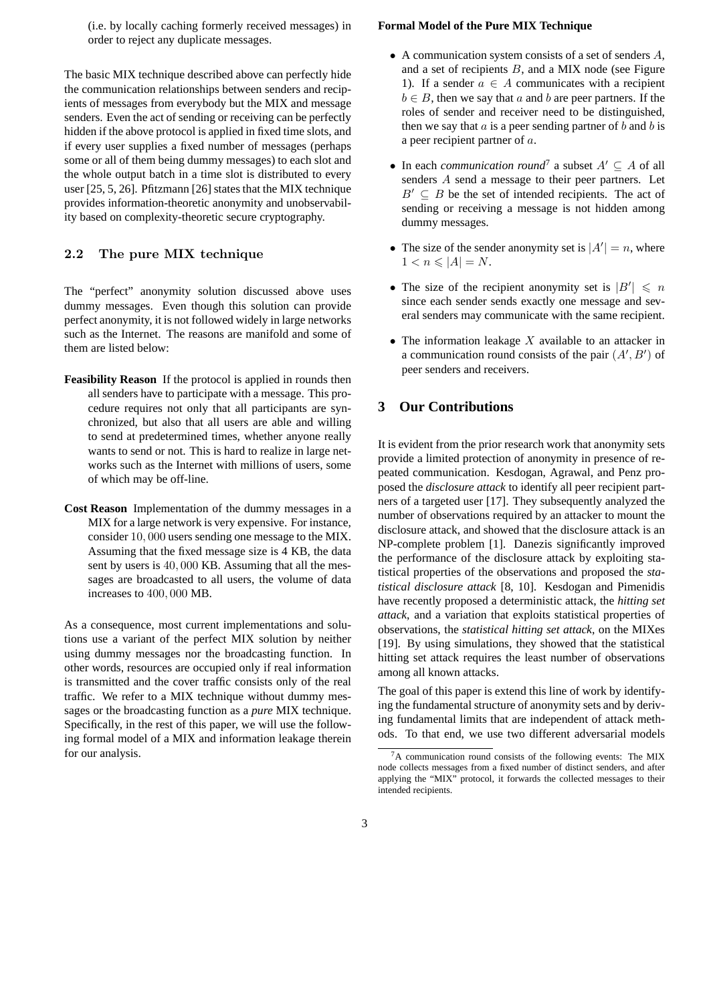(i.e. by locally caching formerly received messages) in order to reject any duplicate messages.

The basic MIX technique described above can perfectly hide the communication relationships between senders and recipients of messages from everybody but the MIX and message senders. Even the act of sending or receiving can be perfectly hidden if the above protocol is applied in fixed time slots, and if every user supplies a fixed number of messages (perhaps some or all of them being dummy messages) to each slot and the whole output batch in a time slot is distributed to every user [25, 5, 26]. Pfitzmann [26] states that the MIX technique provides information-theoretic anonymity and unobservability based on complexity-theoretic secure cryptography.

## **2.2 The pure MIX technique**

The "perfect" anonymity solution discussed above uses dummy messages. Even though this solution can provide perfect anonymity, it is not followed widely in large networks such as the Internet. The reasons are manifold and some of them are listed below:

- **Feasibility Reason** If the protocol is applied in rounds then all senders have to participate with a message. This procedure requires not only that all participants are synchronized, but also that all users are able and willing to send at predetermined times, whether anyone really wants to send or not. This is hard to realize in large networks such as the Internet with millions of users, some of which may be off-line.
- **Cost Reason** Implementation of the dummy messages in a MIX for a large network is very expensive. For instance, consider <sup>10</sup>, <sup>000</sup> users sending one message to the MIX. Assuming that the fixed message size is 4 KB, the data sent by users is <sup>40</sup>, <sup>000</sup> KB. Assuming that all the messages are broadcasted to all users, the volume of data increases to <sup>400</sup>, <sup>000</sup> MB.

As a consequence, most current implementations and solutions use a variant of the perfect MIX solution by neither using dummy messages nor the broadcasting function. In other words, resources are occupied only if real information is transmitted and the cover traffic consists only of the real traffic. We refer to a MIX technique without dummy messages or the broadcasting function as a *pure* MIX technique. Specifically, in the rest of this paper, we will use the following formal model of a MIX and information leakage therein for our analysis.

#### **Formal Model of the Pure MIX Technique**

- A communication system consists of a set of senders  $A$ , and a set of recipients  $B$ , and a MIX node (see Figure 1). If a sender  $a \in A$  communicates with a recipient  $b \in B$ , then we say that a and b are peer partners. If the roles of sender and receiver need to be distinguished, then we say that  $\alpha$  is a peer sending partner of  $b$  and  $b$  is a peer recipient partner of a.
- In each *communication round*<sup>7</sup> a subset  $A' \subseteq A$  of all senders A send a message to their peer partners. Let  $B' \subseteq B$  be the set of intended recipients. The act of sending or receiving a message is not hidden among dummy messages.
- The size of the sender anonymity set is  $|A'| = n$ , where  $1 < n < |A| N$  $1 < n \leqslant |A| = N$ .
- The size of the recipient anonymity set is  $|B'| \le n$ <br>since each sender sends exactly one message and sevsince each sender sends exactly one message and several senders may communicate with the same recipient.
- The information leakage  $X$  available to an attacker in a communication round consists of the pair  $(A', B')$  of peer senders and receivers peer senders and receivers.

## **3 Our Contributions**

It is evident from the prior research work that anonymity sets provide a limited protection of anonymity in presence of repeated communication. Kesdogan, Agrawal, and Penz proposed the *disclosure attack* to identify all peer recipient partners of a targeted user [17]. They subsequently analyzed the number of observations required by an attacker to mount the disclosure attack, and showed that the disclosure attack is an NP-complete problem [1]. Danezis significantly improved the performance of the disclosure attack by exploiting statistical properties of the observations and proposed the *statistical disclosure attack* [8, 10]. Kesdogan and Pimenidis have recently proposed a deterministic attack, the *hitting set attack*, and a variation that exploits statistical properties of observations, the *statistical hitting set attack*, on the MIXes [19]. By using simulations, they showed that the statistical hitting set attack requires the least number of observations among all known attacks.

The goal of this paper is extend this line of work by identifying the fundamental structure of anonymity sets and by deriving fundamental limits that are independent of attack methods. To that end, we use two different adversarial models

 ${}^{7}A$  communication round consists of the following events: The MIX node collects messages from a fixed number of distinct senders, and after applying the "MIX" protocol, it forwards the collected messages to their intended recipients.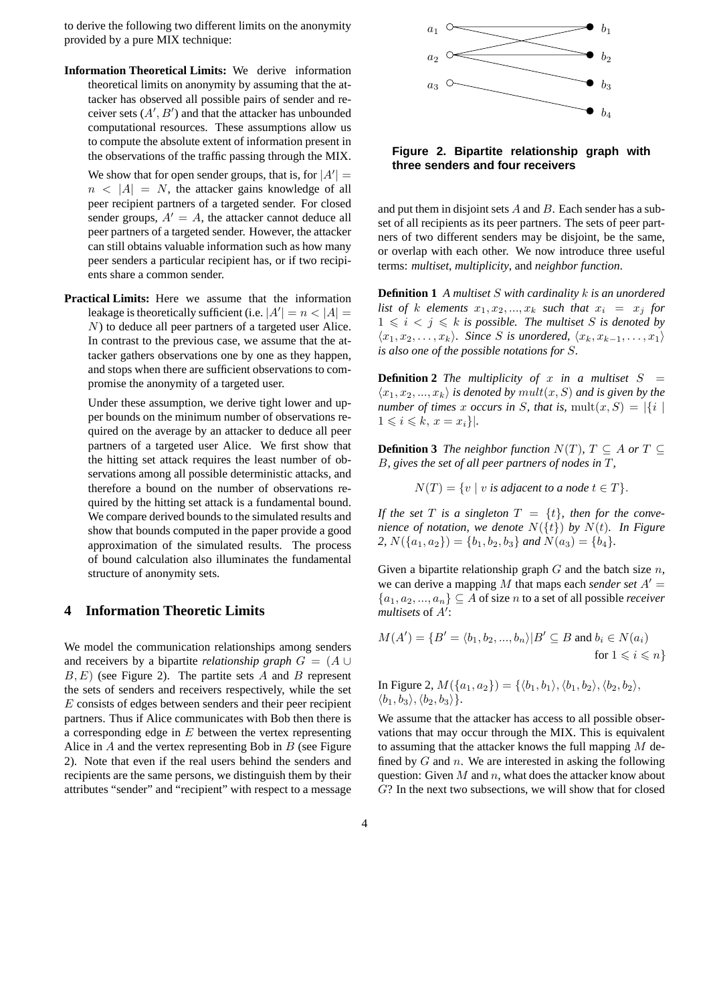to derive the following two different limits on the anonymity provided by a pure MIX technique:

**Information Theoretical Limits:** We derive information theoretical limits on anonymity by assuming that the attacker has observed all possible pairs of sender and receiver sets  $(A', B')$  and that the attacker has unbounded<br>computational resources. These assumptions allow us ceiver sets  $(A', B')$  and that the attacker has unbounded computational resources. These assumptions allow us to compute the absolute extent of information present in the observations of the traffic passing through the MIX.

We show that for open sender groups, that is, for  $|A'| =$ <br> $n \le |A| = N$  the attacker gains knowledge of all  $n < |A| = N$ , the attacker gains knowledge of all peer recipient partners of a targeted sender. For closed sender groups,  $A' = A$ , the attacker cannot deduce all peer partners of a targeted sender. However, the attacker can still obtains valuable information such as how many peer senders a particular recipient has, or if two recipients share a common sender.

**Practical Limits:** Here we assume that the information leakage is theoretically sufficient (i.e.  $|A'| = n < |A| = N$ ) to deduce all neer partners of a targeted user Alice N) to deduce all peer partners of a targeted user Alice. In contrast to the previous case, we assume that the attacker gathers observations one by one as they happen, and stops when there are sufficient observations to compromise the anonymity of a targeted user.

Under these assumption, we derive tight lower and upper bounds on the minimum number of observations required on the average by an attacker to deduce all peer partners of a targeted user Alice. We first show that the hitting set attack requires the least number of observations among all possible deterministic attacks, and therefore a bound on the number of observations required by the hitting set attack is a fundamental bound. We compare derived bounds to the simulated results and show that bounds computed in the paper provide a good approximation of the simulated results. The process of bound calculation also illuminates the fundamental structure of anonymity sets.

## **4 Information Theoretic Limits**

We model the communication relationships among senders and receivers by a bipartite *relationship graph*  $G = (A \cup$  $B, E$ ) (see Figure 2). The partite sets A and B represent the sets of senders and receivers respectively, while the set E consists of edges between senders and their peer recipient partners. Thus if Alice communicates with Bob then there is a corresponding edge in  $E$  between the vertex representing Alice in  $A$  and the vertex representing Bob in  $B$  (see Figure 2). Note that even if the real users behind the senders and recipients are the same persons, we distinguish them by their attributes "sender" and "recipient" with respect to a message



**Figure 2. Bipartite relationship graph with three senders and four receivers**

and put them in disjoint sets  $A$  and  $B$ . Each sender has a subset of all recipients as its peer partners. The sets of peer partners of two different senders may be disjoint, be the same, or overlap with each other. We now introduce three useful terms: *multiset*, *multiplicity*, and *neighbor function*.

**Definition 1** *A multiset* S *with cardinality* k *is an unordered list of* k *elements*  $x_1, x_2, ..., x_k$  *such that*  $x_i = x_j$  *for*  $1 \leq i \leq j \leq k$  *is possible. The multiset* S *is denoted by*  $\langle x_1, x_2, \ldots, x_k \rangle$ . Since *S* is unordered,  $\langle x_k, x_{k-1}, \ldots, x_1 \rangle$ *is also one of the possible notations for* S*.*

**Definition 2** *The multiplicity of x in a multiset*  $S =$  $\langle x_1, x_2, ..., x_k \rangle$  *is denoted by*  $mult(x, S)$  *and is given by the number of times* x *occurs in* S, that is,  $mult(x, S) = |\{i \mid$  $1 \leqslant i \leqslant k, x = x_i\}.$ 

**Definition 3** *The neighbor function*  $N(T)$ *,*  $T \subseteq A$  *or*  $T \subseteq$ B*, gives the set of all peer partners of nodes in* T*,*

 $N(T) = \{v \mid v \text{ is adjacent to a node } t \in T\}.$ 

*If the set*  $T$  *is a singleton*  $T = \{t\}$ *, then for the convenience of notation, we denote*  $N({t})$  *by*  $N(t)$ *. In Figure* 2,  $N({a_1, a_2}) = {b_1, b_2, b_3}$  *and*  $N(a_3) = {b_4}$ .

Given a bipartite relationship graph  $G$  and the batch size  $n$ , we can derive a mapping M that maps each *sender set*  $A' =$  ${a_1, a_2, ..., a_n} \subseteq A$  of size *n* to a set of all possible *receiver multisets* of A :

$$
M(A') = \{B' = \langle b_1, b_2, ..., b_n \rangle | B' \subseteq B \text{ and } b_i \in N(a_i) \text{ for } 1 \leq i \leq n\}
$$

In Figure 2, 
$$
M(\{a_1, a_2\}) = \{\langle b_1, b_1 \rangle, \langle b_1, b_2 \rangle, \langle b_2, b_2 \rangle,
$$
  
 $\langle b_1, b_3 \rangle, \langle b_2, b_3 \rangle\}.$ 

We assume that the attacker has access to all possible observations that may occur through the MIX. This is equivalent to assuming that the attacker knows the full mapping  $M$  defined by  $G$  and  $n$ . We are interested in asking the following question: Given  $M$  and  $n$ , what does the attacker know about G? In the next two subsections, we will show that for closed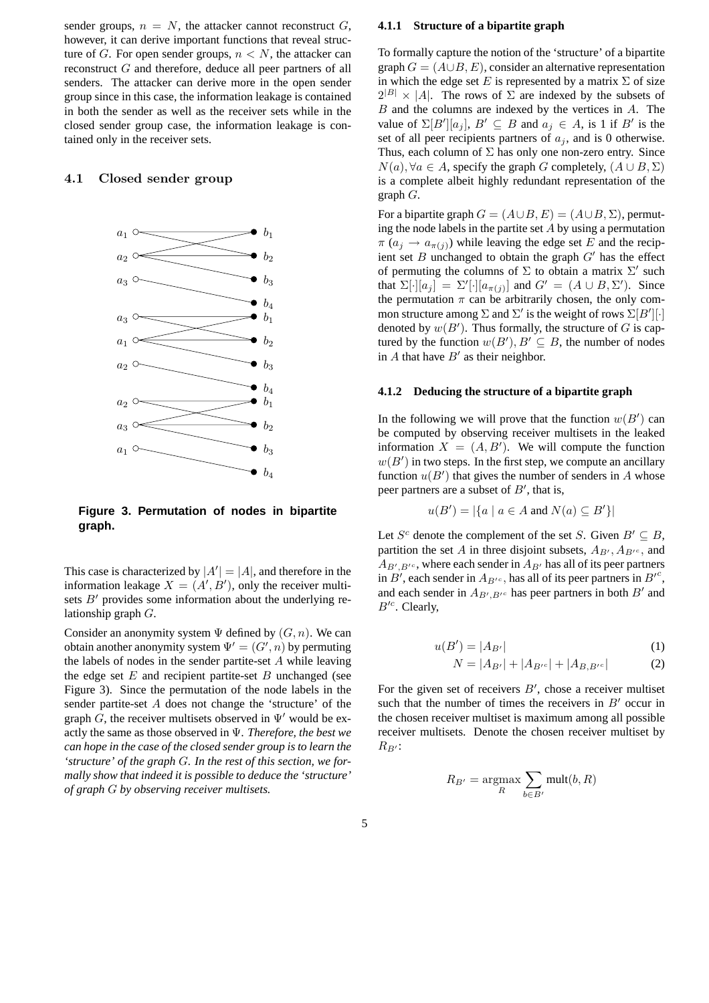sender groups,  $n = N$ , the attacker cannot reconstruct G, however, it can derive important functions that reveal structure of G. For open sender groups,  $n < N$ , the attacker can reconstruct G and therefore, deduce all peer partners of all senders. The attacker can derive more in the open sender group since in this case, the information leakage is contained in both the sender as well as the receiver sets while in the closed sender group case, the information leakage is contained only in the receiver sets.

## **4.1 Closed sender group**



**Figure 3. Permutation of nodes in bipartite graph.**

This case is characterized by  $|A'| = |A|$ , and therefore in the information leakage  $X - (A'B')$  only the receiver multiinformation leakage  $X = (A', B')$ , only the receiver multi-<br>sets  $B'$  provides some information about the underlying resets  $B'$  provides some information about the underlying relationship graph G.

Consider an anonymity system  $\Psi$  defined by  $(G, n)$ . We can obtain another anonymity system  $\Psi' = (G', n)$  by permuting<br>the labels of nodes in the sender partite-set A while leaving the labels of nodes in the sender partite-set A while leaving the edge set  $E$  and recipient partite-set  $B$  unchanged (see Figure 3). Since the permutation of the node labels in the sender partite-set A does not change the 'structure' of the graph G, the receiver multisets observed in  $\Psi'$  would be exactly the same as those observed in Ψ. *Therefore, the best we can hope in the case of the closed sender group is to learn the 'structure' of the graph* G*. In the rest of this section, we formally show that indeed it is possible to deduce the 'structure' of graph* G *by observing receiver multisets.*

#### **4.1.1 Structure of a bipartite graph**

To formally capture the notion of the 'structure' of a bipartite graph  $G = (A \cup B, E)$ , consider an alternative representation in which the edge set E is represented by a matrix  $\Sigma$  of size  $2^{|B|} \times |A|$ . The rows of  $\Sigma$  are indexed by the subsets of  $B$  and the columns are indexed by the vertices in  $A$ . The value of  $\Sigma[B'][a_j], B' \subseteq B$  and  $a_j \in A$ , is 1 if  $B'$  is the set of all peer recipients partners of  $a_j$  and is 0 otherwise set of all peer recipients partners of  $a_i$ , and is 0 otherwise. Thus, each column of  $\Sigma$  has only one non-zero entry. Since  $N(a)$ ,  $\forall a \in A$ , specify the graph G completely,  $(A \cup B, \Sigma)$ is a complete albeit highly redundant representation of the graph G.

For a bipartite graph  $G = (A \cup B, E) = (A \cup B, \Sigma)$ , permuting the node labels in the partite set  $A$  by using a permutation  $\pi$  ( $a_i \rightarrow a_{\pi(i)}$ ) while leaving the edge set E and the recipient set B unchanged to obtain the graph  $G'$  has the effect of permuting the columns of  $\Sigma$  to obtain a matrix  $\Sigma'$  such that  $\Sigma[\cdot][a_j] = \Sigma'[\cdot][a_{\pi(j)}]$  and  $G' = (A \cup B, \Sigma')$ . Since the permutation  $\pi$  can be arbitrarily chosen, the only common structure among  $\Sigma$  and  $\Sigma'$  is the weight of rows  $\Sigma[B'][\cdot]$ <br>denoted by  $w(B')$ . Thus formally, the structure of G is candenoted by  $w(B')$ . Thus formally, the structure of G is cap-<br>tured by the function  $w(B')$ ,  $B' \subset B$ , the number of nodes tured by the function  $w(B')$ ,  $B' \subseteq B$ , the number of nodes<br>in A that have  $B'$  as their neighbor in  $A$  that have  $B'$  as their neighbor.

#### **4.1.2 Deducing the structure of a bipartite graph**

In the following we will prove that the function  $w(B')$  can<br>be computed by observing receiver multisets in the leaked be computed by observing receiver multisets in the leaked information  $X = (A, B')$ . We will compute the function  $w(B')$  in two steps. In the first step, we compute an ancillary  $w(B')$  in two steps. In the first step, we compute an ancillary<br>function  $u(B')$  that gives the number of senders in A whose function  $u(B')$  that gives the number of senders in A whose<br>neer partners are a subset of  $B'$  that is peer partners are a subset of  $B'$ , that is,

$$
u(B') = |\{a \mid a \in A \text{ and } N(a) \subseteq B'\}|
$$

Let  $S^c$  denote the complement of the set S. Given  $B' \subseteq B$ , partition the set A in three disjoint subsets,  $A_{B}$ ,  $A_{B}$ , and  $A_{B', B'^c}$ , where each sender in  $A_{B'}$  has all of its peer partners in  $B'$ , each sender in  $A_{B'}c$ , has all of its peer partners in  $B'^c$ ,<br>and each sender in  $A_{B'}c$  has peer partners in both  $B'$  and and each sender in  $A_{B',B'}$ <sup>c</sup> has peer partners in both B' and  $B^{\prime c}$ . Clearly,

$$
u(B') = |A_{B'}|
$$
 (1)

$$
N = |A_{B'}| + |A_{B'}c| + |A_{B,B'}c| \tag{2}
$$

For the given set of receivers  $B'$ , chose a receiver multiset<br>such that the number of times the receivers in  $B'$  occur in such that the number of times the receivers in  $B'$  occur in the chosen receiver multiset is maximum among all possible receiver multisets. Denote the chosen receiver multiset by  $R_{B'}$ :

$$
R_{B'} = \underset{R}{\operatorname{argmax}} \sum_{b \in B'} \operatorname{mult}(b, R)
$$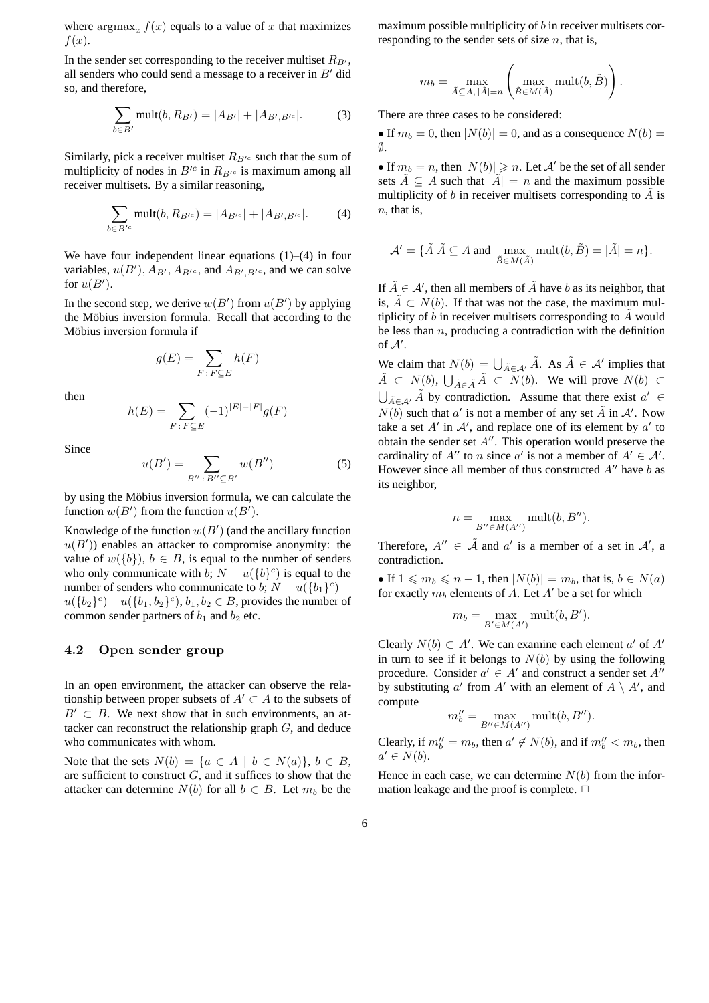where  $\argmax_x f(x)$  equals to a value of x that maximizes  $f(x)$ .

In the sender set corresponding to the receiver multiset  $R_{B}$ . all senders who could send a message to a receiver in  $B'$  did so, and therefore,

$$
\sum_{b \in B'} \text{mult}(b, R_{B'}) = |A_{B'}| + |A_{B', B'^c}|.
$$
 (3)

Similarly, pick a receiver multiset  $R_{B^{\prime c}}$  such that the sum of multiplicity of nodes in  $B^{\prime c}$  in  $R_{B^{\prime c}}$  is maximum among all receiver multisets. By a similar reasoning,

$$
\sum_{b \in B'^c} \text{mult}(b, R_{B'^c}) = |A_{B'^c}| + |A_{B', B'^c}|.
$$
 (4)

We have four independent linear equations  $(1)$ – $(4)$  in four variables,  $u(B')$ ,  $A_{B'}$ ,  $A_{B'}$ , and  $A_{B',B'}$ , and we can solve for  $u(B')$ for  $u(B')$ .

In the second step, we derive  $w(B')$  from  $u(B')$  by applying<br>the Möbius inversion formula. Recall that according to the the Möbius inversion formula. Recall that according to the Möbius inversion formula if

$$
g(E) = \sum_{F \,:\, F \subseteq E} h(F)
$$

then

$$
h(E) = \sum_{F \,:\, F \subseteq E} (-1)^{|E| - |F|} g(F)
$$

Since

$$
u(B') = \sum_{B'' \colon B'' \subseteq B'} w(B'')
$$
 (5)

by using the Möbius inversion formula, we can calculate the function  $w(B')$  from the function  $u(B')$ .

Knowledge of the function  $w(B')$  (and the ancillary function  $w(B')$ ) enables an attacker to compromise anonymity; the  $u(B')$ ) enables an attacker to compromise anonymity: the value of  $u(B)$ )  $h \in B$  is equal to the number of senders value of  $w({b})$ ,  $b \in B$ , is equal to the number of senders who only communicate with b;  $N - u({b}c)$  is equal to the number of senders who communicate to b;  $N - u({b_1}^c)$  –  $u({b_2}^c) + u({b_1, b_2}^c)$ ,  $b_1, b_2 \in B$ , provides the number of common sender partners of  $b_1$  and  $b_2$  etc.

#### **4.2 Open sender group**

In an open environment, the attacker can observe the relationship between proper subsets of  $A' \subset A$  to the subsets of  $B' \subset B$ . We next show that in such environments, an attacker can reconstruct the relationship graph G, and deduce who communicates with whom.

Note that the sets  $N(b) = \{a \in A \mid b \in N(a)\}, b \in B$ , are sufficient to construct  $G$ , and it suffices to show that the attacker can determine  $N(b)$  for all  $b \in B$ . Let  $m_b$  be the

maximum possible multiplicity of  $b$  in receiver multisets corresponding to the sender sets of size  $n$ , that is,

$$
m_b = \max_{\tilde{A} \subseteq A, |\tilde{A}| = n} \left( \max_{\tilde{B} \in M(\tilde{A})} \text{mult}(b, \tilde{B}) \right).
$$

There are three cases to be considered:

• If  $m_b = 0$ , then  $|N(b)| = 0$ , and as a consequence  $N(b) =$ ∅.

• If  $m_b = n$ , then  $|N(b)| \ge n$ . Let A' be the set of all sender sets  $\tilde{A} \subset A$  such that  $|\tilde{A}| = n$  and the maximum possible sets  $\tilde{A} \subseteq A$  such that  $|\tilde{A}| = n$  and the maximum possible multiplicity of b in receiver multisets corresponding to  $\tilde{A}$  is  $n$ , that is,

$$
\mathcal{A}' = \{ \tilde{A} | \tilde{A} \subseteq A \text{ and } \max_{\tilde{B} \in M(\tilde{A})} \text{mult}(b, \tilde{B}) = |\tilde{A}| = n \}.
$$

If  $\tilde{A} \in \mathcal{A}'$ , then all members of  $\tilde{A}$  have b as its neighbor, that is  $\tilde{A} \subset N(h)$ . If that was not the case, the maximum mulis,  $\tilde{A} \subset N(b)$ . If that was not the case, the maximum multiplicity of  $b$  in receiver multisets corresponding to  $A$  would be less than  $n$ , producing a contradiction with the definition of  $A'$ .

We claim that  $N(b) = \bigcup_{\tilde{A} \in \mathcal{A}'} \tilde{A}$ . As  $\tilde{A} \in \mathcal{A}'$  implies that  $\tilde{A} \in N(b)$ .  $\tilde{A} \in N(b)$ . We will gase  $N(b) \in N(b)$ .  $\tilde{A} \subset N(b), \bigcup_{\tilde{A} \in \tilde{\mathcal{A}}} \tilde{A} \subset N(b).$  We will prove  $N(b) \subset$  $\bigcup_{\tilde{A} \in A'} \tilde{A}$  by contradiction. Assume that there exist  $a' \in M(\lambda)$  and that  $e'$  is not a grounder of any set  $\tilde{A}$  in  $A'$ . Now  $N(b)$  such that a' is not a member of any set  $\tilde{A}$  in  $A'$ . Now take a set A' in A', and replace one of its element by  $a'$  to obtain the sender set A''. This operation would preserve the obtain the sender set  $A''$ . This operation would preserve the cardinality of  $A''$  to n since a' is not a member of  $A' \in A'$ .<br>However since all member of thus constructed  $A''$  have h as However since all member of thus constructed  $A''$  have b as its neighbor,

$$
n = \max_{B'' \in M(A'')} \text{mult}(b, B'').
$$

Therefore,  $A'' \in \tilde{A}$  and  $a'$  is a member of a set in  $A'$ , a contradiction contradiction.

• If  $1 \leq m_b \leq n - 1$ , then  $|N(b)| = m_b$ , that is,  $b \in N(a)$ for exactly  $m_b$  elements of A. Let A' be a set for which

$$
m_b = \max_{B' \in M(A')} \text{mult}(b, B').
$$

Clearly  $N(b) \subset A'$ . We can examine each element a' of A'<br>in turn to see if it belongs to  $N(b)$  by using the following in turn to see if it belongs to  $N(b)$  by using the following procedure. Consider  $a' \in A'$  and construct a sender set  $A''$ by substituting a' from A' with an element of  $A \setminus A'$ , and compute compute

$$
m''_b = \max_{B'' \in M(A'')} \operatorname{mult}(b, B'').
$$

Clearly, if  $m''_b = m_b$ , then  $a' \notin N(b)$ , and if  $m''_b < m_b$ , then  $a' \in N(b)$  $a' \in N(b)$ .

Hence in each case, we can determine  $N(b)$  from the information leakage and the proof is complete.  $\Box$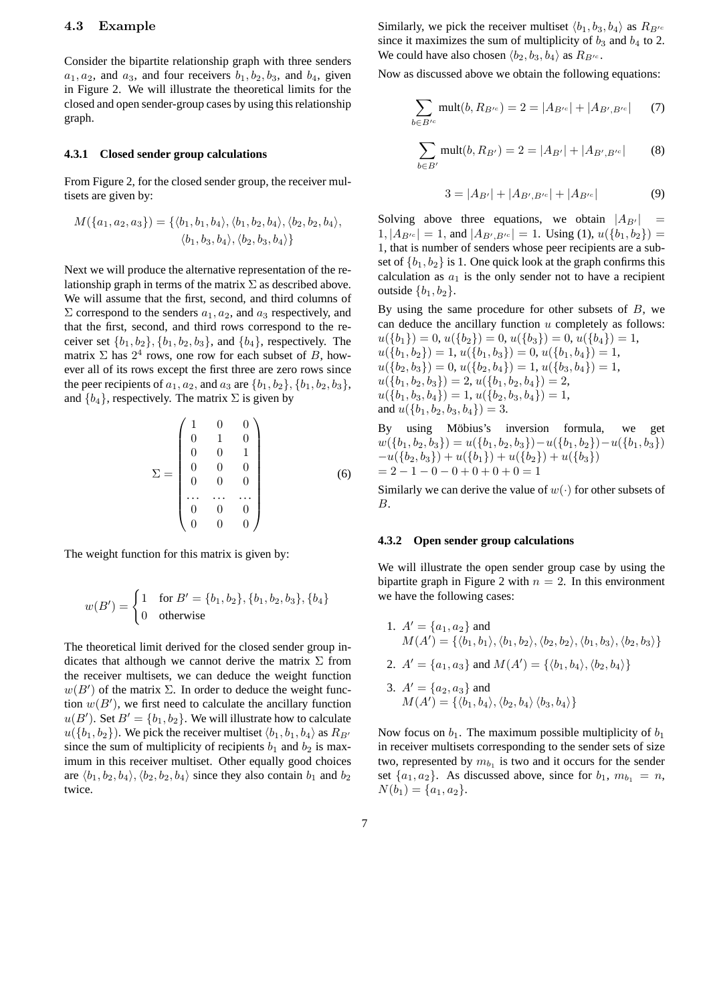#### **4.3 Example**

Consider the bipartite relationship graph with three senders  $a_1, a_2$ , and  $a_3$ , and four receivers  $b_1, b_2, b_3$ , and  $b_4$ , given in Figure 2. We will illustrate the theoretical limits for the closed and open sender-group cases by using this relationship graph.

## **4.3.1 Closed sender group calculations**

From Figure 2, for the closed sender group, the receiver multisets are given by:

$$
M(\{a_1, a_2, a_3\}) = \{\langle b_1, b_1, b_4 \rangle, \langle b_1, b_2, b_4 \rangle, \langle b_2, b_2, b_4 \rangle, \langle b_1, b_3, b_4 \rangle, \langle b_2, b_3, b_4 \rangle\}
$$

Next we will produce the alternative representation of the relationship graph in terms of the matrix  $\Sigma$  as described above. We will assume that the first, second, and third columns of  $\Sigma$  correspond to the senders  $a_1, a_2$ , and  $a_3$  respectively, and that the first, second, and third rows correspond to the receiver set  $\{b_1, b_2\}$ ,  $\{b_1, b_2, b_3\}$ , and  $\{b_4\}$ , respectively. The matrix  $\Sigma$  has  $2^4$  rows, one row for each subset of B, however all of its rows except the first three are zero rows since the peer recipients of  $a_1, a_2$ , and  $a_3$  are  $\{b_1, b_2\}$ ,  $\{b_1, b_2, b_3\}$ , and  ${b_4}$ , respectively. The matrix  $\Sigma$  is given by

$$
\Sigma = \begin{pmatrix}\n1 & 0 & 0 \\
0 & 1 & 0 \\
0 & 0 & 1 \\
0 & 0 & 0 \\
0 & 0 & 0 \\
\vdots & \vdots & \ddots & \vdots \\
0 & 0 & 0 \\
0 & 0 & 0\n\end{pmatrix}
$$
\n(6)

The weight function for this matrix is given by:

$$
w(B') = \begin{cases} 1 & \text{for } B' = \{b_1, b_2\}, \{b_1, b_2, b_3\}, \{b_4\} \\ 0 & \text{otherwise} \end{cases}
$$

The theoretical limit derived for the closed sender group indicates that although we cannot derive the matrix  $\Sigma$  from the receiver multisets, we can deduce the weight function  $w(B')$  of the matrix  $\Sigma$ . In order to deduce the weight func-<br>tion  $w(B')$  we first need to calculate the ancillary function tion  $w(B')$ , we first need to calculate the ancillary function<br> $w(B')$ . Set  $B' = Jh$ ,  $h_2$ ). We will illustrate how to calculate  $u(B')$ . Set  $B' = \{b_1, b_2\}$ . We will illustrate how to calculate<br> $u(b_1, b_2)$ . We pick the receiver multiset  $(b_1, b_2, b_3)$  as  $B_{D}$  $u({b_1, b_2})$ . We pick the receiver multiset  $\langle b_1, b_1, b_4 \rangle$  as  $R_{B'}$ since the sum of multiplicity of recipients  $b_1$  and  $b_2$  is maximum in this receiver multiset. Other equally good choices are  $\langle b_1, b_2, b_4 \rangle$ ,  $\langle b_2, b_2, b_4 \rangle$  since they also contain  $b_1$  and  $b_2$ twice.

Similarly, we pick the receiver multiset  $\langle b_1, b_3, b_4 \rangle$  as  $R_{B}$ <sub>c</sub> since it maximizes the sum of multiplicity of  $b_3$  and  $b_4$  to 2. We could have also chosen  $\langle b_2, b_3, b_4 \rangle$  as  $R_{B}$ <sub>c</sub>.

Now as discussed above we obtain the following equations:

$$
\sum_{b \in B'^c} \text{mult}(b, R_{B'^c}) = 2 = |A_{B'^c}| + |A_{B', B'^c}| \qquad (7)
$$

$$
\sum_{b \in B'} \text{mult}(b, R_{B'}) = 2 = |A_{B'}| + |A_{B', B'^c}| \tag{8}
$$

$$
3 = |A_{B'}| + |A_{B',B'^c}| + |A_{B'^c}| \tag{9}
$$

Solving above three equations, we obtain  $|A_{B'}|$  =  $1, |A_{B^{\prime}}| = 1$ , and  $|A_{B^{\prime}, B^{\prime}}| = 1$ . Using (1),  $u({b_1, b_2}) =$ 1, that is number of senders whose peer recipients are a subset of  ${b_1, b_2}$  is 1. One quick look at the graph confirms this calculation as  $a_1$  is the only sender not to have a recipient outside  ${b_1, b_2}$ .

By using the same procedure for other subsets of  $B$ , we can deduce the ancillary function  $u$  completely as follows:  $u({b_1})=0, u({b_2})=0, u({b_3})=0, u({b_4})=1,$  $u({b_1, b_2})=1, u({b_1, b_3})=0, u({b_1, b_4})=1,$  $u({b_2,b_3})=0, u({b_2,b_4})=1, u({b_3,b_4})=1,$  $u({b<sub>1</sub>, b<sub>2</sub>, b<sub>3</sub>})=2, u({b<sub>1</sub>, b<sub>2</sub>, b<sub>4</sub>})=2,$  $u({b<sub>1</sub>, b<sub>3</sub>, b<sub>4</sub>})=1, u({b<sub>2</sub>, b<sub>3</sub>, b<sub>4</sub>})=1,$ and  $u({b_1, b_2, b_3, b_4})=3.$ <br>By using Möbius's i

using Möbius's inversion formula, we get  $w({b_1, b_2, b_3}) = u({b_1, b_2, b_3}) - u({b_1, b_2}) - u({b_1, b_3})$  $-u({b_2,b_3}) + u({b_1}) + u({b_2}) + u({b_3})$  $= 2 - 1 - 0 - 0 + 0 + 0 + 0 = 1$ 

Similarly we can derive the value of  $w(\cdot)$  for other subsets of B.

#### **4.3.2 Open sender group calculations**

We will illustrate the open sender group case by using the bipartite graph in Figure 2 with  $n = 2$ . In this environment we have the following cases:

1. 
$$
A' = \{a_1, a_2\}
$$
 and  
\n $M(A') = \{\langle b_1, b_1 \rangle, \langle b_1, b_2 \rangle, \langle b_2, b_2 \rangle, \langle b_1, b_3 \rangle, \langle b_2, b_3 \rangle\}$   
\n2.  $A' = \{a_1, a_3\}$  and  $M(A') = \{\langle b_1, b_4 \rangle, \langle b_2, b_4 \rangle\}$   
\n3.  $A' = \{a_2, a_3\}$  and  
\n $M(A') = \{\langle b_1, b_4 \rangle, \langle b_2, b_4 \rangle, \langle b_3, b_4 \rangle\}$ 

Now focus on  $b_1$ . The maximum possible multiplicity of  $b_1$ in receiver multisets corresponding to the sender sets of size two, represented by  $m_{b_1}$  is two and it occurs for the sender set  $\{a_1, a_2\}$ . As discussed above, since for  $b_1$ ,  $m_{b_1} = n$ ,  $N(b_1) = \{a_1, a_2\}.$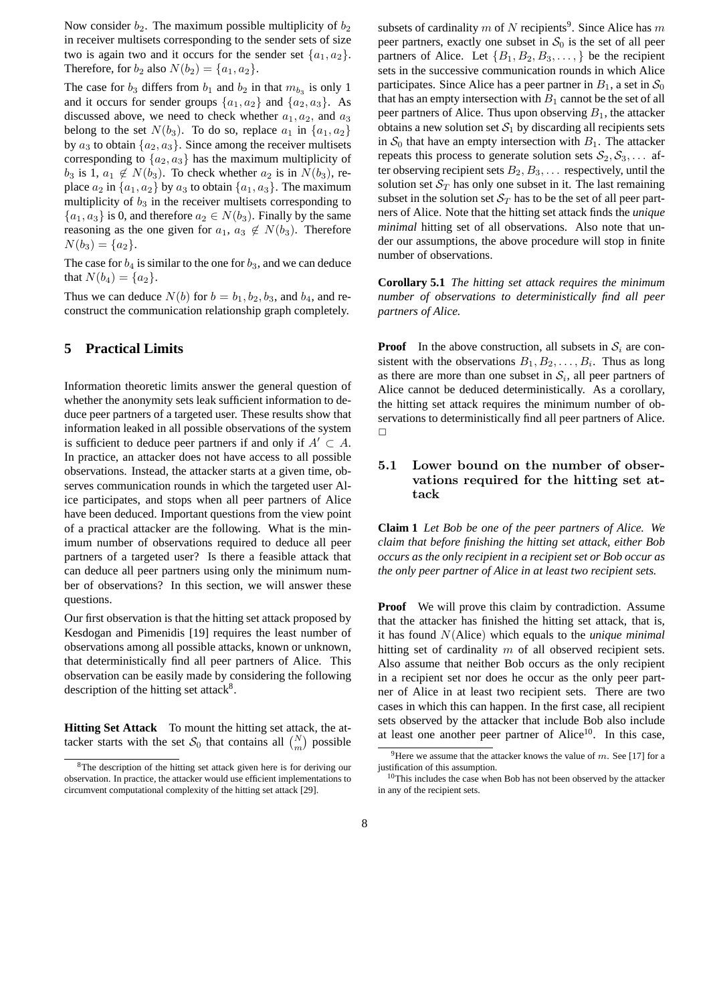Now consider  $b_2$ . The maximum possible multiplicity of  $b_2$ in receiver multisets corresponding to the sender sets of size two is again two and it occurs for the sender set  $\{a_1, a_2\}$ . Therefore, for  $b_2$  also  $N(b_2) = \{a_1, a_2\}.$ 

The case for  $b_3$  differs from  $b_1$  and  $b_2$  in that  $m_{b_3}$  is only 1 and it occurs for sender groups  $\{a_1, a_2\}$  and  $\{a_2, a_3\}$ . As discussed above, we need to check whether  $a_1, a_2$ , and  $a_3$ belong to the set  $N(b_3)$ . To do so, replace  $a_1$  in  $\{a_1, a_2\}$ by  $a_3$  to obtain  $\{a_2, a_3\}$ . Since among the receiver multisets corresponding to  $\{a_2, a_3\}$  has the maximum multiplicity of  $b_3$  is 1,  $a_1 \notin N(b_3)$ . To check whether  $a_2$  is in  $N(b_3)$ , replace  $a_2$  in  $\{a_1, a_2\}$  by  $a_3$  to obtain  $\{a_1, a_3\}$ . The maximum multiplicity of  $b_3$  in the receiver multisets corresponding to  ${a_1, a_3}$  is 0, and therefore  $a_2 \in N(b_3)$ . Finally by the same reasoning as the one given for  $a_1, a_3 \notin N(b_3)$ . Therefore  $N(b_2) = \{a_2\}$  $N(b_3) = \{a_2\}.$ 

The case for  $b_4$  is similar to the one for  $b_3$ , and we can deduce that  $N(b_4) = \{a_2\}.$ 

Thus we can deduce  $N(b)$  for  $b = b_1, b_2, b_3$ , and  $b_4$ , and reconstruct the communication relationship graph completely.

## **5 Practical Limits**

Information theoretic limits answer the general question of whether the anonymity sets leak sufficient information to deduce peer partners of a targeted user. These results show that information leaked in all possible observations of the system is sufficient to deduce peer partners if and only if  $A' \subset A$ . In practice, an attacker does not have access to all possible observations. Instead, the attacker starts at a given time, observes communication rounds in which the targeted user Alice participates, and stops when all peer partners of Alice have been deduced. Important questions from the view point of a practical attacker are the following. What is the minimum number of observations required to deduce all peer partners of a targeted user? Is there a feasible attack that can deduce all peer partners using only the minimum number of observations? In this section, we will answer these questions.

Our first observation is that the hitting set attack proposed by Kesdogan and Pimenidis [19] requires the least number of observations among all possible attacks, known or unknown, that deterministically find all peer partners of Alice. This observation can be easily made by considering the following description of the hitting set attack $8$ .

**Hitting Set Attack** To mount the hitting set attack, the attacker starts with the set  $S_0$  that contains all  $\binom{N}{m}$  possible

subsets of cardinality m of N recipients<sup>9</sup>. Since Alice has m peer partners, exactly one subset in  $S_0$  is the set of all peer partners of Alice. Let  $\{B_1, B_2, B_3, \ldots\}$  be the recipient sets in the successive communication rounds in which Alice participates. Since Alice has a peer partner in  $B_1$ , a set in  $S_0$ that has an empty intersection with  $B_1$  cannot be the set of all peer partners of Alice. Thus upon observing  $B_1$ , the attacker obtains a new solution set  $S_1$  by discarding all recipients sets in  $S_0$  that have an empty intersection with  $B_1$ . The attacker repeats this process to generate solution sets  $S_2, S_3, \ldots$  after observing recipient sets  $B_2, B_3, \ldots$  respectively, until the solution set  $S_T$  has only one subset in it. The last remaining subset in the solution set  $S_T$  has to be the set of all peer partners of Alice. Note that the hitting set attack finds the *unique minimal* hitting set of all observations. Also note that under our assumptions, the above procedure will stop in finite number of observations.

**Corollary 5.1** *The hitting set attack requires the minimum number of observations to deterministically find all peer partners of Alice.*

**Proof** In the above construction, all subsets in  $S_i$  are consistent with the observations  $B_1, B_2, \ldots, B_i$ . Thus as long as there are more than one subset in  $S_i$ , all peer partners of Alice cannot be deduced deterministically. As a corollary, the hitting set attack requires the minimum number of observations to deterministically find all peer partners of Alice.  $\Box$ 

## **5.1 Lower bound on the number of observations required for the hitting set attack**

**Claim 1** *Let Bob be one of the peer partners of Alice. We claim that before finishing the hitting set attack, either Bob occurs as the only recipient in a recipient set or Bob occur as the only peer partner of Alice in at least two recipient sets.*

**Proof** We will prove this claim by contradiction. Assume that the attacker has finished the hitting set attack, that is, it has found N(Alice) which equals to the *unique minimal* hitting set of cardinality  $m$  of all observed recipient sets. Also assume that neither Bob occurs as the only recipient in a recipient set nor does he occur as the only peer partner of Alice in at least two recipient sets. There are two cases in which this can happen. In the first case, all recipient sets observed by the attacker that include Bob also include at least one another peer partner of Alice<sup>10</sup>. In this case,

<sup>8</sup>The description of the hitting set attack given here is for deriving our observation. In practice, the attacker would use efficient implementations to circumvent computational complexity of the hitting set attack [29].

<sup>&</sup>lt;sup>9</sup>Here we assume that the attacker knows the value of  $m$ . See [17] for a justification of this assumption.

<sup>&</sup>lt;sup>10</sup>This includes the case when Bob has not been observed by the attacker in any of the recipient sets.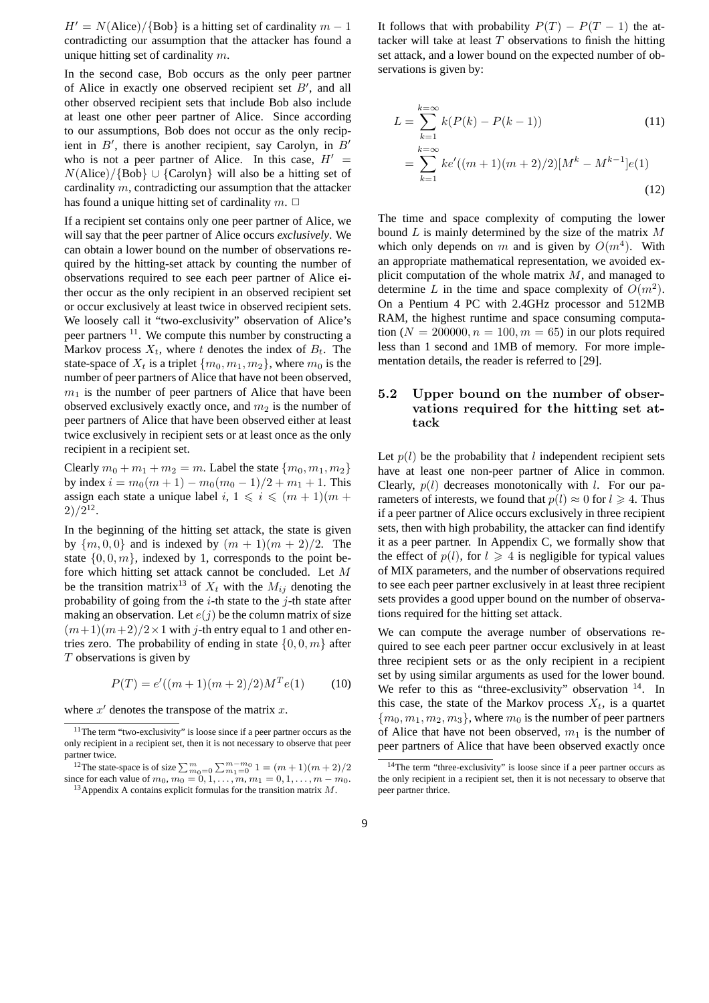$H' = N(\text{Alice})/\{\text{Bob}\}\$ is a hitting set of cardinality  $m - 1$ contradicting our assumption that the attacker has found a unique hitting set of cardinality  $m$ .

In the second case, Bob occurs as the only peer partner of Alice in exactly one observed recipient set  $B'$ , and all<br>other observed recipient sets that include Bob also include other observed recipient sets that include Bob also include at least one other peer partner of Alice. Since according to our assumptions, Bob does not occur as the only recipient in B', there is another recipient, say Carolyn, in B'<br>who is not a neer partner of Alice. In this case,  $H'$ who is not a peer partner of Alice. In this case,  $H' =$ N(Alice)/{Bob}∪{Carolyn} will also be a hitting set of cardinality m, contradicting our assumption that the attacker has found a unique hitting set of cardinality  $m$ .  $\Box$ 

If a recipient set contains only one peer partner of Alice, we will say that the peer partner of Alice occurs *exclusively*. We can obtain a lower bound on the number of observations required by the hitting-set attack by counting the number of observations required to see each peer partner of Alice either occur as the only recipient in an observed recipient set or occur exclusively at least twice in observed recipient sets. We loosely call it "two-exclusivity" observation of Alice's peer partners 11. We compute this number by constructing a Markov process  $X_t$ , where t denotes the index of  $B_t$ . The state-space of  $X_t$  is a triplet  $\{m_0, m_1, m_2\}$ , where  $m_0$  is the number of peer partners of Alice that have not been observed,  $m_1$  is the number of peer partners of Alice that have been observed exclusively exactly once, and  $m_2$  is the number of peer partners of Alice that have been observed either at least twice exclusively in recipient sets or at least once as the only recipient in a recipient set.

Clearly  $m_0 + m_1 + m_2 = m$ . Label the state  $\{m_0, m_1, m_2\}$ by index  $i = m_0(m + 1) - m_0(m_0 - 1)/2 + m_1 + 1$ . This assign each state a unique label  $i, 1 \leq i \leq (m + 1)(m + 1)$  $2)/2^{12}$ .

In the beginning of the hitting set attack, the state is given by  ${m, 0, 0}$  and is indexed by  ${m + 1}(m + 2)/2$ . The state  $\{0, 0, m\}$ , indexed by 1, corresponds to the point before which hitting set attack cannot be concluded. Let M be the transition matrix<sup>13</sup> of  $X_t$  with the  $M_{ij}$  denoting the probability of going from the  $i$ -th state to the  $j$ -th state after making an observation. Let  $e(j)$  be the column matrix of size  $(m+1)(m+2)/2 \times 1$  with j-th entry equal to 1 and other entries zero. The probability of ending in state  $\{0, 0, m\}$  after T observations is given by

$$
P(T) = e'((m+1)(m+2)/2)M^{T}e(1)
$$
 (10)

where  $x'$  denotes the transpose of the matrix  $x$ .

It follows that with probability  $P(T) - P(T - 1)$  the attacker will take at least  $T$  observations to finish the hitting set attack, and a lower bound on the expected number of observations is given by:

$$
L = \sum_{k=1}^{k=\infty} k(P(k) - P(k-1))
$$
(11)  
= 
$$
\sum_{k=1}^{k=\infty} ke'((m+1)(m+2)/2)[M^k - M^{k-1}]e(1)
$$
(12)

The time and space complexity of computing the lower bound  $L$  is mainly determined by the size of the matrix  $M$ which only depends on m and is given by  $O(m<sup>4</sup>)$ . With an appropriate mathematical representation, we avoided explicit computation of the whole matrix  $M$ , and managed to determine L in the time and space complexity of  $O(m^2)$ . On a Pentium 4 PC with 2.4GHz processor and 512MB RAM, the highest runtime and space consuming computation ( $N = 200000, n = 100, m = 65$ ) in our plots required less than 1 second and 1MB of memory. For more implementation details, the reader is referred to [29].

## **5.2 Upper bound on the number of observations required for the hitting set attack**

Let  $p(l)$  be the probability that l independent recipient sets have at least one non-peer partner of Alice in common. Clearly,  $p(l)$  decreases monotonically with l. For our parameters of interests, we found that  $p(l) \approx 0$  for  $l \ge 4$ . Thus if a peer partner of Alice occurs exclusively in three recipient sets, then with high probability, the attacker can find identify it as a peer partner. In Appendix C, we formally show that the effect of  $p(l)$ , for  $l \geq 4$  is negligible for typical values<br>of MIX parameters and the number of observations required of MIX parameters, and the number of observations required to see each peer partner exclusively in at least three recipient sets provides a good upper bound on the number of observations required for the hitting set attack.

We can compute the average number of observations required to see each peer partner occur exclusively in at least three recipient sets or as the only recipient in a recipient set by using similar arguments as used for the lower bound. We refer to this as "three-exclusivity" observation <sup>14</sup>. In this case, the state of the Markov process  $X_t$ , is a quartet  ${m_0, m_1, m_2, m_3}$ , where  $m_0$  is the number of peer partners of Alice that have not been observed,  $m_1$  is the number of peer partners of Alice that have been observed exactly once

 $11$ The term "two-exclusivity" is loose since if a peer partner occurs as the only recipient in a recipient set, then it is not necessary to observe that peer partner twice.

<sup>&</sup>lt;sup>12</sup>The state-space is of size  $\sum_{m_0=0}^{m} \sum_{m_1=0}^{m-m_0} 1 = (m+1)(m+2)/2$ since for each value of  $m_0$ ,  $m_0 = 0, 1, \ldots, m, m_1 = 0, 1, \ldots, m - m_0$ .<br><sup>13</sup>Appendix A contains explicit formulas for the transition matrix *M*.

<sup>14</sup>The term "three-exclusivity" is loose since if a peer partner occurs as the only recipient in a recipient set, then it is not necessary to observe that peer partner thrice.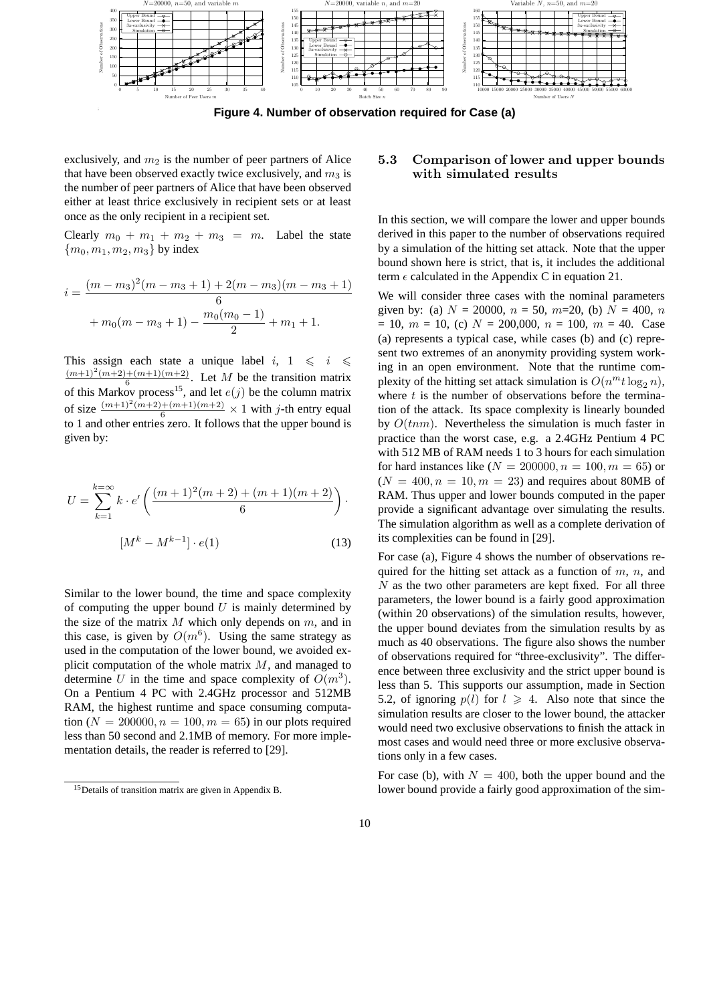

; ; **Figure 4. Number of observation required for Case (a)**

exclusively, and  $m_2$  is the number of peer partners of Alice that have been observed exactly twice exclusively, and  $m_3$  is the number of peer partners of Alice that have been observed either at least thrice exclusively in recipient sets or at least once as the only recipient in a recipient set.

Clearly  $m_0 + m_1 + m_2 + m_3 = m$ . Label the state  ${m_0, m_1, m_2, m_3}$  by index

$$
i = \frac{(m-m_3)^2(m-m_3+1) + 2(m-m_3)(m-m_3+1)}{6}
$$

$$
+ m_0(m-m_3+1) - \frac{m_0(m_0-1)}{2} + m_1 + 1.
$$

This assign each state a unique label  $i, 1 \leq i \leq \frac{(m+1)^2(m+2)+(m+1)(m+2)}{6}$ . Let M be the transition matrix of this Markov process<sup>15</sup> and let  $e(i)$  be the column matrix of this Markov process<sup>15</sup>, and let  $e(j)$  be the column matrix of size  $\frac{(m+1)^2(m+2)+(m+1)(m+2)}{6} \times 1$  with j-th entry equal<br>to 1 and other entries zero. It follows that the upper bound is to 1 and other entries zero. It follows that the upper bound is given by:

$$
U = \sum_{k=1}^{k=\infty} k \cdot e' \left( \frac{(m+1)^2(m+2) + (m+1)(m+2)}{6} \right) \cdot \left[ M^k - M^{k-1} \right] \cdot e(1)
$$
 (13)

Similar to the lower bound, the time and space complexity of computing the upper bound  $U$  is mainly determined by the size of the matrix  $M$  which only depends on  $m$ , and in this case, is given by  $O(m^6)$ . Using the same strategy as used in the computation of the lower bound, we avoided explicit computation of the whole matrix  $M$ , and managed to determine U in the time and space complexity of  $O(m^3)$ . On a Pentium 4 PC with 2.4GHz processor and 512MB RAM, the highest runtime and space consuming computation ( $N = 200000, n = 100, m = 65$ ) in our plots required less than 50 second and 2.1MB of memory. For more implementation details, the reader is referred to [29].

## **5.3 Comparison of lower and upper bounds with simulated results**

In this section, we will compare the lower and upper bounds derived in this paper to the number of observations required by a simulation of the hitting set attack. Note that the upper bound shown here is strict, that is, it includes the additional term  $\epsilon$  calculated in the Appendix C in equation 21.

We will consider three cases with the nominal parameters given by: (a)  $N = 20000$ ,  $n = 50$ ,  $m=20$ , (b)  $N = 400$ ,  $n = 100$  $= 10, m = 10, (c) N = 200,000, n = 100, m = 40$ . Case (a) represents a typical case, while cases (b) and (c) represent two extremes of an anonymity providing system working in an open environment. Note that the runtime complexity of the hitting set attack simulation is  $O(n^m t \log_2 n)$ , where  $t$  is the number of observations before the termination of the attack. Its space complexity is linearly bounded by  $O(tnm)$ . Nevertheless the simulation is much faster in practice than the worst case, e.g. a 2.4GHz Pentium 4 PC with 512 MB of RAM needs 1 to 3 hours for each simulation for hard instances like ( $N = 200000, n = 100, m = 65$ ) or  $(N = 400, n = 10, m = 23)$  and requires about 80MB of RAM. Thus upper and lower bounds computed in the paper provide a significant advantage over simulating the results. The simulation algorithm as well as a complete derivation of its complexities can be found in [29].

For case (a), Figure 4 shows the number of observations required for the hitting set attack as a function of  $m$ ,  $n$ , and  $N$  as the two other parameters are kept fixed. For all three parameters, the lower bound is a fairly good approximation (within 20 observations) of the simulation results, however, the upper bound deviates from the simulation results by as much as 40 observations. The figure also shows the number of observations required for "three-exclusivity". The difference between three exclusivity and the strict upper bound is less than 5. This supports our assumption, made in Section 5.2, of ignoring  $p(l)$  for  $l \geq 4$ . Also note that since the simulation results are closer to the lower bound, the attacker simulation results are closer to the lower bound, the attacker would need two exclusive observations to finish the attack in most cases and would need three or more exclusive observations only in a few cases.

For case (b), with  $N = 400$ , both the upper bound and the lower bound provide a fairly good approximation of the sim-

<sup>15</sup>Details of transition matrix are given in Appendix B.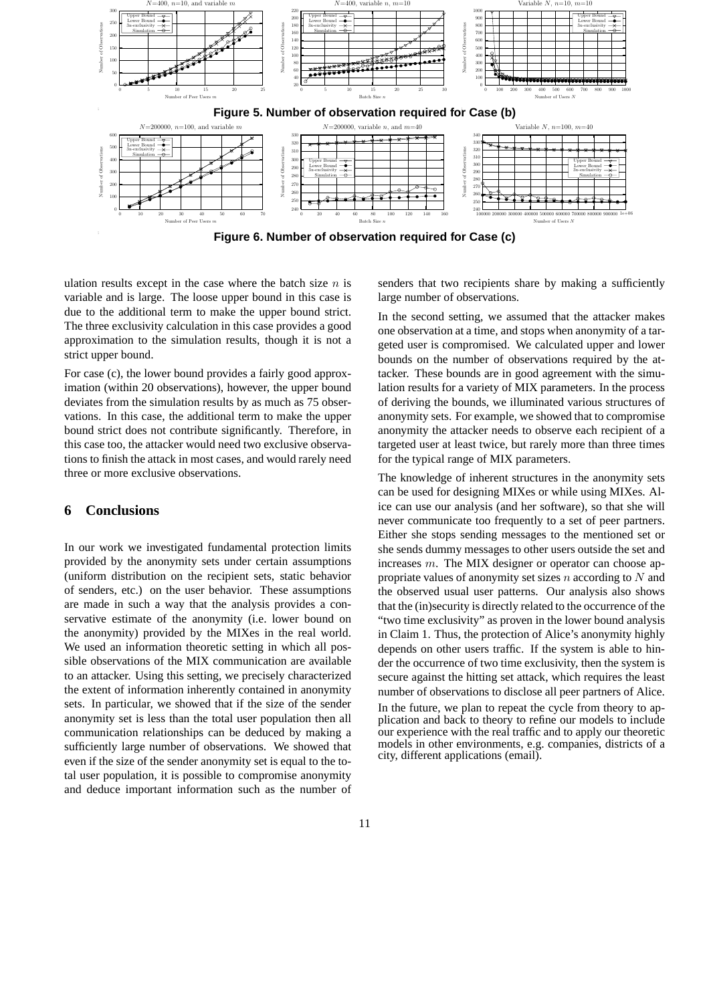

; ; **Figure 6. Number of observation required for Case (c)**

ulation results except in the case where the batch size  $n$  is variable and is large. The loose upper bound in this case is due to the additional term to make the upper bound strict. The three exclusivity calculation in this case provides a good approximation to the simulation results, though it is not a strict upper bound.

For case (c), the lower bound provides a fairly good approximation (within 20 observations), however, the upper bound deviates from the simulation results by as much as 75 observations. In this case, the additional term to make the upper bound strict does not contribute significantly. Therefore, in this case too, the attacker would need two exclusive observations to finish the attack in most cases, and would rarely need three or more exclusive observations.

## **6 Conclusions**

In our work we investigated fundamental protection limits provided by the anonymity sets under certain assumptions (uniform distribution on the recipient sets, static behavior of senders, etc.) on the user behavior. These assumptions are made in such a way that the analysis provides a conservative estimate of the anonymity (i.e. lower bound on the anonymity) provided by the MIXes in the real world. We used an information theoretic setting in which all possible observations of the MIX communication are available to an attacker. Using this setting, we precisely characterized the extent of information inherently contained in anonymity sets. In particular, we showed that if the size of the sender anonymity set is less than the total user population then all communication relationships can be deduced by making a sufficiently large number of observations. We showed that even if the size of the sender anonymity set is equal to the total user population, it is possible to compromise anonymity and deduce important information such as the number of senders that two recipients share by making a sufficiently large number of observations.

In the second setting, we assumed that the attacker makes one observation at a time, and stops when anonymity of a targeted user is compromised. We calculated upper and lower bounds on the number of observations required by the attacker. These bounds are in good agreement with the simulation results for a variety of MIX parameters. In the process of deriving the bounds, we illuminated various structures of anonymity sets. For example, we showed that to compromise anonymity the attacker needs to observe each recipient of a targeted user at least twice, but rarely more than three times for the typical range of MIX parameters.

The knowledge of inherent structures in the anonymity sets can be used for designing MIXes or while using MIXes. Alice can use our analysis (and her software), so that she will never communicate too frequently to a set of peer partners. Either she stops sending messages to the mentioned set or she sends dummy messages to other users outside the set and increases m. The MIX designer or operator can choose appropriate values of anonymity set sizes  $n$  according to  $N$  and the observed usual user patterns. Our analysis also shows that the (in)security is directly related to the occurrence of the "two time exclusivity" as proven in the lower bound analysis in Claim 1. Thus, the protection of Alice's anonymity highly depends on other users traffic. If the system is able to hinder the occurrence of two time exclusivity, then the system is secure against the hitting set attack, which requires the least number of observations to disclose all peer partners of Alice.

In the future, we plan to repeat the cycle from theory to application and back to theory to refine our models to include our experience with the real traffic and to apply our theoretic models in other environments, e.g. companies, districts of a city, different applications (email).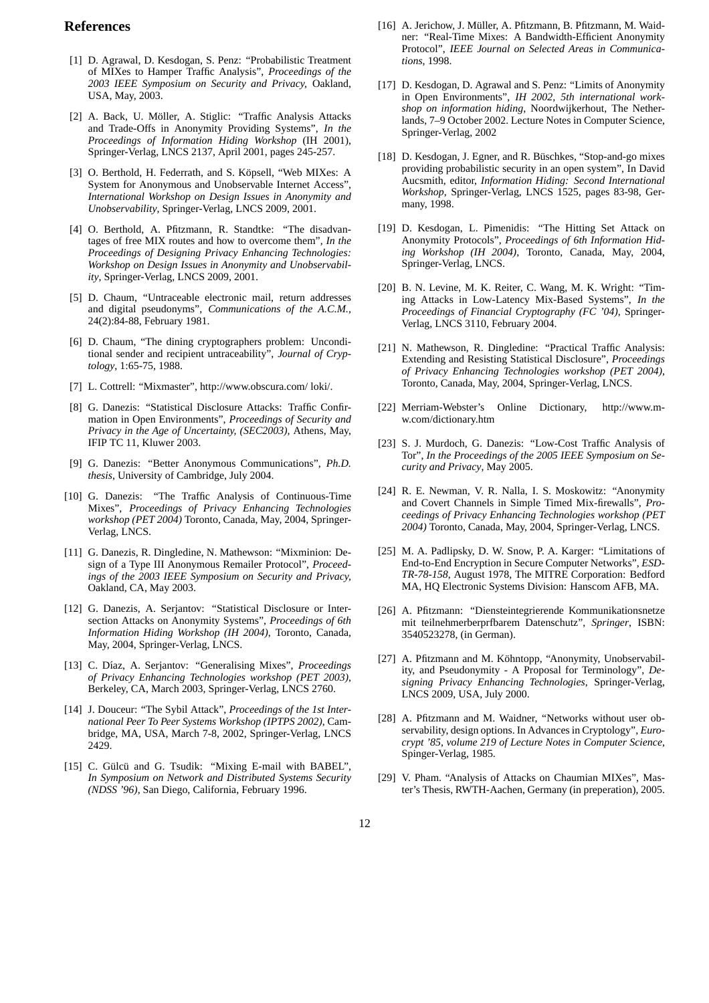### **References**

- [1] D. Agrawal, D. Kesdogan, S. Penz: "Probabilistic Treatment of MIXes to Hamper Traffic Analysis", *Proceedings of the 2003 IEEE Symposium on Security and Privacy,* Oakland, USA, May, 2003.
- [2] A. Back, U. Möller, A. Stiglic: "Traffic Analysis Attacks and Trade-Offs in Anonymity Providing Systems", *In the Proceedings of Information Hiding Workshop* (IH 2001), Springer-Verlag, LNCS 2137, April 2001, pages 245-257.
- [3] O. Berthold, H. Federrath, and S. Köpsell, "Web MIXes: A System for Anonymous and Unobservable Internet Access", *International Workshop on Design Issues in Anonymity and Unobservability*, Springer-Verlag, LNCS 2009, 2001.
- [4] O. Berthold, A. Pfitzmann, R. Standtke: "The disadvantages of free MIX routes and how to overcome them", *In the Proceedings of Designing Privacy Enhancing Technologies: Workshop on Design Issues in Anonymity and Unobservability*, Springer-Verlag, LNCS 2009, 2001.
- [5] D. Chaum, "Untraceable electronic mail, return addresses and digital pseudonyms", *Communications of the A.C.M.,* 24(2):84-88, February 1981.
- [6] D. Chaum, "The dining cryptographers problem: Unconditional sender and recipient untraceability", *Journal of Cryptology*, 1:65-75, 1988.
- [7] L. Cottrell: "Mixmaster", http://www.obscura.com/ loki/.
- [8] G. Danezis: "Statistical Disclosure Attacks: Traffic Confirmation in Open Environments", *Proceedings of Security and Privacy in the Age of Uncertainty, (SEC2003),* Athens, May, IFIP TC 11, Kluwer 2003.
- [9] G. Danezis: "Better Anonymous Communications", *Ph.D. thesis*, University of Cambridge, July 2004.
- [10] G. Danezis: "The Traffic Analysis of Continuous-Time Mixes", *Proceedings of Privacy Enhancing Technologies workshop (PET 2004)* Toronto, Canada, May, 2004, Springer-Verlag, LNCS.
- [11] G. Danezis, R. Dingledine, N. Mathewson: "Mixminion: Design of a Type III Anonymous Remailer Protocol", *Proceedings of the 2003 IEEE Symposium on Security and Privacy,* Oakland, CA, May 2003.
- [12] G. Danezis, A. Serjantov: "Statistical Disclosure or Intersection Attacks on Anonymity Systems", *Proceedings of 6th Information Hiding Workshop (IH 2004)*, Toronto, Canada, May, 2004, Springer-Verlag, LNCS.
- [13] C. Díaz, A. Serjantov: "Generalising Mixes", *Proceedings of Privacy Enhancing Technologies workshop (PET 2003)*, Berkeley, CA, March 2003, Springer-Verlag, LNCS 2760.
- [14] J. Douceur: "The Sybil Attack", *Proceedings of the 1st International Peer To Peer Systems Workshop (IPTPS 2002)*, Cambridge, MA, USA, March 7-8, 2002, Springer-Verlag, LNCS 2429.
- [15] C. Gülcü and G. Tsudik: "Mixing E-mail with BABEL", *In Symposium on Network and Distributed Systems Security (NDSS '96)*, San Diego, California, February 1996.
- [16] A. Jerichow, J. Müller, A. Pfitzmann, B. Pfitzmann, M. Waidner: "Real-Time Mixes: A Bandwidth-Efficient Anonymity Protocol", *IEEE Journal on Selected Areas in Communications*, 1998.
- [17] D. Kesdogan, D. Agrawal and S. Penz: "Limits of Anonymity in Open Environments", *IH 2002, 5th international workshop on information hiding*, Noordwijkerhout, The Netherlands, 7–9 October 2002. Lecture Notes in Computer Science, Springer-Verlag, 2002
- [18] D. Kesdogan, J. Egner, and R. Büschkes, "Stop-and-go mixes" providing probabilistic security in an open system", In David Aucsmith, editor, *Information Hiding: Second International Workshop*, Springer-Verlag, LNCS 1525, pages 83-98, Germany, 1998.
- [19] D. Kesdogan, L. Pimenidis: "The Hitting Set Attack on Anonymity Protocols", *Proceedings of 6th Information Hiding Workshop (IH 2004)*, Toronto, Canada, May, 2004, Springer-Verlag, LNCS.
- [20] B. N. Levine, M. K. Reiter, C. Wang, M. K. Wright: "Timing Attacks in Low-Latency Mix-Based Systems", *In the Proceedings of Financial Cryptography (FC '04)*, Springer-Verlag, LNCS 3110, February 2004.
- [21] N. Mathewson, R. Dingledine: "Practical Traffic Analysis: Extending and Resisting Statistical Disclosure", *Proceedings of Privacy Enhancing Technologies workshop (PET 2004)*, Toronto, Canada, May, 2004, Springer-Verlag, LNCS.
- [22] Merriam-Webster's Online Dictionary, http://www.mw.com/dictionary.htm
- [23] S. J. Murdoch, G. Danezis: "Low-Cost Traffic Analysis of Tor", *In the Proceedings of the 2005 IEEE Symposium on Security and Privacy*, May 2005.
- [24] R. E. Newman, V. R. Nalla, I. S. Moskowitz: "Anonymity and Covert Channels in Simple Timed Mix-firewalls", *Proceedings of Privacy Enhancing Technologies workshop (PET 2004)* Toronto, Canada, May, 2004, Springer-Verlag, LNCS.
- [25] M. A. Padlipsky, D. W. Snow, P. A. Karger: "Limitations of End-to-End Encryption in Secure Computer Networks", *ESD-TR-78-158*, August 1978, The MITRE Corporation: Bedford MA, HQ Electronic Systems Division: Hanscom AFB, MA.
- [26] A. Pfitzmann: "Diensteintegrierende Kommunikationsnetze mit teilnehmerberprfbarem Datenschutz", *Springer*, ISBN: 3540523278, (in German).
- [27] A. Pfitzmann and M. Köhntopp, "Anonymity, Unobservability, and Pseudonymity - A Proposal for Terminology", *Designing Privacy Enhancing Technologies*, Springer-Verlag, LNCS 2009, USA, July 2000.
- [28] A. Pfitzmann and M. Waidner, "Networks without user observability, design options. In Advances in Cryptology", *Eurocrypt '85, volume 219 of Lecture Notes in Computer Science*, Spinger-Verlag, 1985.
- [29] V. Pham. "Analysis of Attacks on Chaumian MIXes", Master's Thesis, RWTH-Aachen, Germany (in preperation), 2005.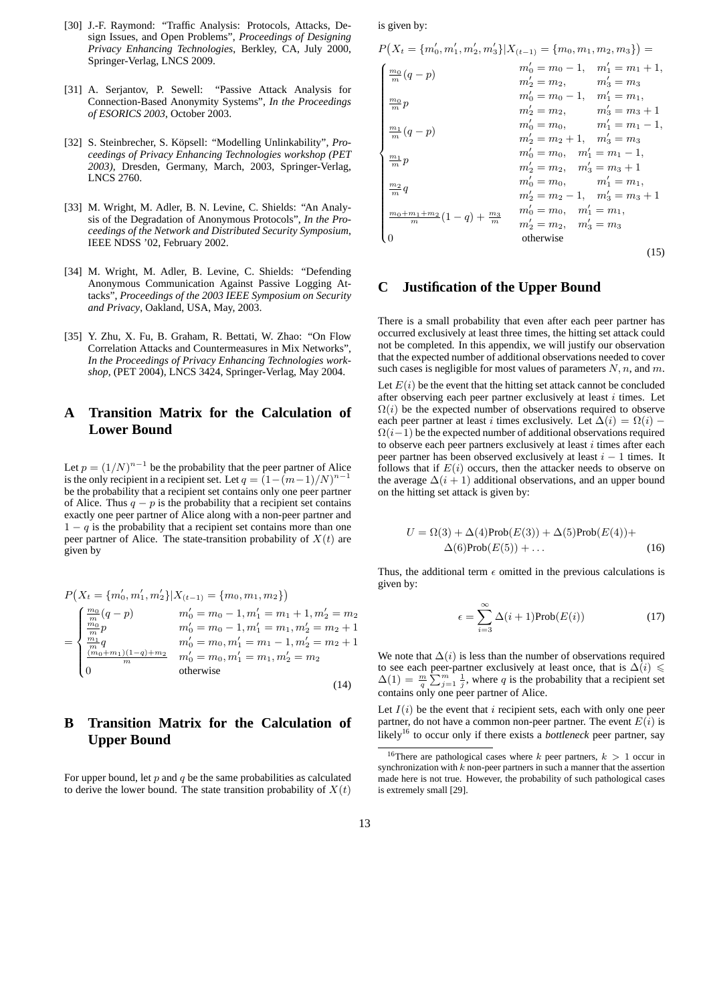- [30] J.-F. Raymond: "Traffic Analysis: Protocols, Attacks, Design Issues, and Open Problems", *Proceedings of Designing Privacy Enhancing Technologies*, Berkley, CA, July 2000, Springer-Verlag, LNCS 2009.
- [31] A. Serjantov, P. Sewell: "Passive Attack Analysis for Connection-Based Anonymity Systems", *In the Proceedings of ESORICS 2003*, October 2003.
- [32] S. Steinbrecher, S. Köpsell: "Modelling Unlinkability", Pro*ceedings of Privacy Enhancing Technologies workshop (PET 2003)*, Dresden, Germany, March, 2003, Springer-Verlag, LNCS 2760.
- [33] M. Wright, M. Adler, B. N. Levine, C. Shields: "An Analysis of the Degradation of Anonymous Protocols", *In the Proceedings of the Network and Distributed Security Symposium*, IEEE NDSS '02, February 2002.
- [34] M. Wright, M. Adler, B. Levine, C. Shields: "Defending Anonymous Communication Against Passive Logging Attacks", *Proceedings of the 2003 IEEE Symposium on Security and Privacy*, Oakland, USA, May, 2003.
- [35] Y. Zhu, X. Fu, B. Graham, R. Bettati, W. Zhao: "On Flow Correlation Attacks and Countermeasures in Mix Networks", *In the Proceedings of Privacy Enhancing Technologies workshop*, (PET 2004), LNCS 3424, Springer-Verlag, May 2004.

## **A Transition Matrix for the Calculation of Lower Bound**

Let  $p = (1/N)^{n-1}$  be the probability that the peer partner of Alice is the only recipient in a recipient set. Let  $q = (1 - (m-1)/N)^{n-1}$ be the probability that a recipient set contains only one peer partner of Alice. Thus  $q - p$  is the probability that a recipient set contains exactly one peer partner of Alice along with a non-peer partner and  $1 - q$  is the probability that a recipient set contains more than one peer partner of Alice. The state-transition probability of  $X(t)$  are given by

$$
P(X_t = \{m'_0, m'_1, m'_2\}|X_{(t-1)} = \{m_0, m_1, m_2\})
$$
  
\n
$$
= \begin{cases} \frac{m_0}{m}(q-p) & m'_0 = m_0 - 1, m'_1 = m_1 + 1, m'_2 = m_2\\ \frac{m_0}{m}p & m'_0 = m_0 - 1, m'_1 = m_1, m'_2 = m_2 + 1\\ \frac{m_1}{m}q & m'_0 = m_0, m'_1 = m_1 - 1, m'_2 = m_2 + 1\\ \frac{(m_0 + m_1)(1 - q) + m_2}{m} & m'_0 = m_0, m'_1 = m_1, m'_2 = m_2\\ 0 & \text{otherwise} \end{cases}
$$
(14)

# **B Transition Matrix for the Calculation of Upper Bound**

For upper bound, let  $p$  and  $q$  be the same probabilities as calculated to derive the lower bound. The state transition probability of  $X(t)$ 

is given by:

$$
P(X_{t} = \{m'_{0}, m'_{1}, m'_{2}, m'_{3}\}|X_{(t-1)} = \{m_{0}, m_{1}, m_{2}, m_{3}\}) =
$$
\n
$$
\begin{cases}\n\frac{m_{0}}{m}(q-p) & m'_{0} = m_{0} - 1, m'_{1} = m_{1} + 1, \\
m'_{2} = m_{2}, m'_{3} = m_{3} \\
m'_{0} = m_{0} - 1, m'_{1} = m_{1}, \\
m'_{2} = m_{2}, m'_{3} = m_{3} + 1 \\
m'_{1} = m_{1}, m'_{2} = m_{2}, m'_{3} = m_{3} + 1 \\
m'_{0} = m_{0}, m'_{1} = m_{1} - 1, \\
m'_{2} = m_{2} + 1, m'_{3} = m_{3} \\
m'_{0} = m_{0}, m'_{1} = m_{1} - 1, \\
m'_{2} = m_{2}, m'_{3} = m_{3} + 1 \\
m'_{0} = m_{0}, m'_{1} = m_{1}, \\
m'_{2} = m_{2} - 1, m'_{3} = m_{3} + 1 \\
m'_{0} = m_{0}, m'_{1} = m_{1}, \\
m'_{2} = m_{2} - 1, m'_{3} = m_{3} + 1 \\
m'_{0} = m_{0}, m'_{1} = m_{1}, \\
m'_{2} = m_{2}, m'_{3} = m_{3}\n\end{cases}
$$
\n
$$
P(X_{t} = \{m_{0}, m_{1}, m_{2}, m_{3}\}|X_{(t-1)} = \{m_{0}, m'_{1} = m_{1}, m'_{2} = m_{2}, m'_{3} = m_{3}\})
$$
\n
$$
P(Y_{t} = \{m_{0}, m'_{1} = m_{1}, m'_{2} = m_{2}, m'_{3} = m_{3}\})
$$
\n
$$
P(Y_{t} = \{m_{0}, m'_{1} = m_{1}, m'_{2} = m_{2}, m'_{3} = m_{3}\})
$$
\n
$$
P(Y_{t} = \{m_{0}, m'_{1} = m_{1}, m'_{2} = m_{2}, m'_{3} = m_{3}\})
$$
\n
$$
P(Y_{t} = \{m_{0}, m'_{1} = m_{1}, m'_{1} = m_{1}, m'_{2} = m_{2}, m'_{3} =
$$

## **C Justification of the Upper Bound**

There is a small probability that even after each peer partner has occurred exclusively at least three times, the hitting set attack could not be completed. In this appendix, we will justify our observation that the expected number of additional observations needed to cover such cases is negligible for most values of parameters  $N, n$ , and  $m$ .

Let  $E(i)$  be the event that the hitting set attack cannot be concluded after observing each peer partner exclusively at least  $i$  times. Let  $\Omega(i)$  be the expected number of observations required to observe each peer partner at least i times exclusively. Let  $\Delta(i) = \Omega(i)$  –  $\Omega(i-1)$  be the expected number of additional observations required to observe each peer partners exclusively at least  $i$  times after each peer partner has been observed exclusively at least  $i - 1$  times. It follows that if  $E(i)$  occurs, then the attacker needs to observe on the average  $\Delta(i + 1)$  additional observations, and an upper bound on the hitting set attack is given by:

$$
U = \Omega(3) + \Delta(4) \text{Prob}(E(3)) + \Delta(5) \text{Prob}(E(4)) +
$$
  
 
$$
\Delta(6) \text{Prob}(E(5)) + \dots
$$
 (16)

Thus, the additional term  $\epsilon$  omitted in the previous calculations is given by:

$$
\epsilon = \sum_{i=3}^{\infty} \Delta(i+1) \text{Prob}(E(i)) \tag{17}
$$

We note that  $\Delta(i)$  is less than the number of observations required to see each peer-partner exclusively at least once, that is  $\Delta(i) \leq$  $\Delta(1) = \frac{m}{q} \sum_{j=1}^{m} \frac{1}{j}$ , where q is the probability that a recipient set contains only one peer partner of Alice.

Let  $I(i)$  be the event that i recipient sets, each with only one peer partner, do not have a common non-peer partner. The event  $E(i)$  is likely<sup>16</sup> to occur only if there exists a *bottleneck* peer partner, say

<sup>&</sup>lt;sup>16</sup>There are pathological cases where *k* peer partners,  $k > 1$  occur in synchronization with *k* non-peer partners in such a manner that the assertion made here is not true. However, the probability of such pathological cases is extremely small [29].